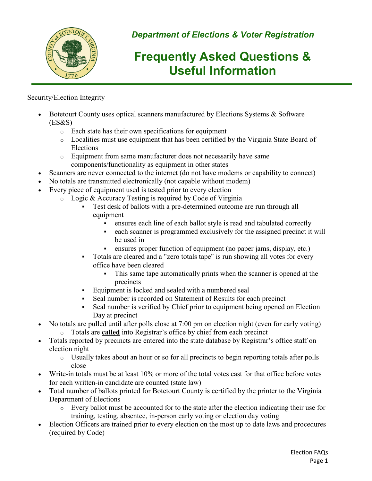

*Department of Elections & Voter Registration*

# **Frequently Asked Questions & Useful Information**

## Security/Election Integrity

- Botetourt County uses optical scanners manufactured by Elections Systems & Software  $(ES&S)$ 
	- o Each state has their own specifications for equipment
	- o Localities must use equipment that has been certified by the Virginia State Board of Elections
	- o Equipment from same manufacturer does not necessarily have same components/functionality as equipment in other states
- Scanners are never connected to the internet (do not have modems or capability to connect)
- No totals are transmitted electronically (not capable without modem)
- Every piece of equipment used is tested prior to every election
	- o Logic & Accuracy Testing is required by Code of Virginia
		- Test desk of ballots with a pre-determined outcome are run through all equipment
			- ensures each line of each ballot style is read and tabulated correctly
			- each scanner is programmed exclusively for the assigned precinct it will be used in
			- ensures proper function of equipment (no paper jams, display, etc.)
		- Totals are cleared and a "zero totals tape" is run showing all votes for every office have been cleared
			- This same tape automatically prints when the scanner is opened at the precincts
		- Equipment is locked and sealed with a numbered seal
		- Seal number is recorded on Statement of Results for each precinct
		- Seal number is verified by Chief prior to equipment being opened on Election Day at precinct
- No totals are pulled until after polls close at 7:00 pm on election night (even for early voting)
	- o Totals are **called** into Registrar's office by chief from each precinct
- Totals reported by precincts are entered into the state database by Registrar's office staff on election night
	- o Usually takes about an hour or so for all precincts to begin reporting totals after polls close
- Write-in totals must be at least 10% or more of the total votes cast for that office before votes for each written-in candidate are counted (state law)
- Total number of ballots printed for Botetourt County is certified by the printer to the Virginia Department of Elections
	- o Every ballot must be accounted for to the state after the election indicating their use for training, testing, absentee, in-person early voting or election day voting
- Election Officers are trained prior to every election on the most up to date laws and procedures (required by Code)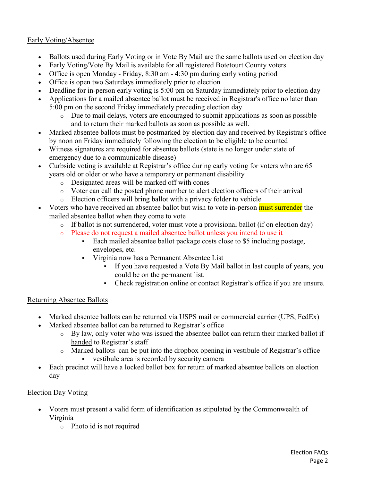### Early Voting/Absentee

- Ballots used during Early Voting or in Vote By Mail are the same ballots used on election day
- Early Voting/Vote By Mail is available for all registered Botetourt County voters
- Office is open Monday Friday, 8:30 am 4:30 pm during early voting period
- Office is open two Saturdays immediately prior to election
- Deadline for in-person early voting is 5:00 pm on Saturday immediately prior to election day
- Applications for a mailed absentee ballot must be received in Registrar's office no later than 5:00 pm on the second Friday immediately preceding election day
	- $\circ$  Due to mail delays, voters are encouraged to submit applications as soon as possible and to return their marked ballots as soon as possible as well.
- Marked absentee ballots must be postmarked by election day and received by Registrar's office by noon on Friday immediately following the election to be eligible to be counted
- Witness signatures are required for absentee ballots (state is no longer under state of emergency due to a communicable disease)
- Curbside voting is available at Registrar's office during early voting for voters who are 65 years old or older or who have a temporary or permanent disability
	- o Designated areas will be marked off with cones
	- o Voter can call the posted phone number to alert election officers of their arrival
	- o Election officers will bring ballot with a privacy folder to vehicle
- Voters who have received an absentee ballot but wish to vote in-person must surrender the mailed absentee ballot when they come to vote
	- o If ballot is not surrendered, voter must vote a provisional ballot (if on election day)
	- o Please do not request a mailed absentee ballot unless you intend to use it
		- Each mailed absentee ballot package costs close to \$5 including postage, envelopes, etc.
		- Virginia now has a Permanent Absentee List
			- If you have requested a Vote By Mail ballot in last couple of years, you could be on the permanent list.
			- Check registration online or contact Registrar's office if you are unsure.

#### Returning Absentee Ballots

- Marked absentee ballots can be returned via USPS mail or commercial carrier (UPS, FedEx)
- Marked absentee ballot can be returned to Registrar's office
	- o By law, only voter who was issued the absentee ballot can return their marked ballot if handed to Registrar's staff
	- o Marked ballots can be put into the dropbox opening in vestibule of Registrar's office vestibule area is recorded by security camera
- Each precinct will have a locked ballot box for return of marked absentee ballots on election day

#### Election Day Voting

- Voters must present a valid form of identification as stipulated by the Commonwealth of Virginia
	- o Photo id is not required